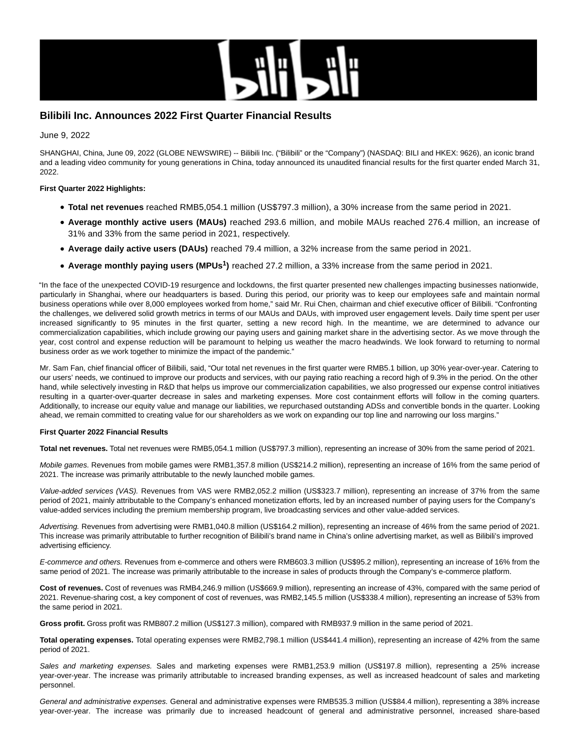

# **Bilibili Inc. Announces 2022 First Quarter Financial Results**

June 9, 2022

SHANGHAI, China, June 09, 2022 (GLOBE NEWSWIRE) -- Bilibili Inc. ("Bilibili" or the "Company") (NASDAQ: BILI and HKEX: 9626), an iconic brand and a leading video community for young generations in China, today announced its unaudited financial results for the first quarter ended March 31, 2022.

### **First Quarter 2022 Highlights:**

- **Total net revenues** reached RMB5,054.1 million (US\$797.3 million), a 30% increase from the same period in 2021.
- **Average monthly active users (MAUs)** reached 293.6 million, and mobile MAUs reached 276.4 million, an increase of 31% and 33% from the same period in 2021, respectively.
- **Average daily active users (DAUs)** reached 79.4 million, a 32% increase from the same period in 2021.
- **Average monthly paying users (MPUs<sup>1</sup> )** reached 27.2 million, a 33% increase from the same period in 2021.

"In the face of the unexpected COVID-19 resurgence and lockdowns, the first quarter presented new challenges impacting businesses nationwide, particularly in Shanghai, where our headquarters is based. During this period, our priority was to keep our employees safe and maintain normal business operations while over 8,000 employees worked from home," said Mr. Rui Chen, chairman and chief executive officer of Bilibili. "Confronting the challenges, we delivered solid growth metrics in terms of our MAUs and DAUs, with improved user engagement levels. Daily time spent per user increased significantly to 95 minutes in the first quarter, setting a new record high. In the meantime, we are determined to advance our commercialization capabilities, which include growing our paying users and gaining market share in the advertising sector. As we move through the year, cost control and expense reduction will be paramount to helping us weather the macro headwinds. We look forward to returning to normal business order as we work together to minimize the impact of the pandemic."

Mr. Sam Fan, chief financial officer of Bilibili, said, "Our total net revenues in the first quarter were RMB5.1 billion, up 30% year-over-year. Catering to our users' needs, we continued to improve our products and services, with our paying ratio reaching a record high of 9.3% in the period. On the other hand, while selectively investing in R&D that helps us improve our commercialization capabilities, we also progressed our expense control initiatives resulting in a quarter-over-quarter decrease in sales and marketing expenses. More cost containment efforts will follow in the coming quarters. Additionally, to increase our equity value and manage our liabilities, we repurchased outstanding ADSs and convertible bonds in the quarter. Looking ahead, we remain committed to creating value for our shareholders as we work on expanding our top line and narrowing our loss margins."

### **First Quarter 2022 Financial Results**

**Total net revenues.** Total net revenues were RMB5,054.1 million (US\$797.3 million), representing an increase of 30% from the same period of 2021.

Mobile games. Revenues from mobile games were RMB1,357.8 million (US\$214.2 million), representing an increase of 16% from the same period of 2021. The increase was primarily attributable to the newly launched mobile games.

Value-added services (VAS). Revenues from VAS were RMB2,052.2 million (US\$323.7 million), representing an increase of 37% from the same period of 2021, mainly attributable to the Company's enhanced monetization efforts, led by an increased number of paying users for the Company's value-added services including the premium membership program, live broadcasting services and other value-added services.

Advertising. Revenues from advertising were RMB1,040.8 million (US\$164.2 million), representing an increase of 46% from the same period of 2021. This increase was primarily attributable to further recognition of Bilibili's brand name in China's online advertising market, as well as Bilibili's improved advertising efficiency.

E-commerce and others. Revenues from e-commerce and others were RMB603.3 million (US\$95.2 million), representing an increase of 16% from the same period of 2021. The increase was primarily attributable to the increase in sales of products through the Company's e-commerce platform.

**Cost of revenues.** Cost of revenues was RMB4,246.9 million (US\$669.9 million), representing an increase of 43%, compared with the same period of 2021. Revenue-sharing cost, a key component of cost of revenues, was RMB2,145.5 million (US\$338.4 million), representing an increase of 53% from the same period in 2021.

**Gross profit.** Gross profit was RMB807.2 million (US\$127.3 million), compared with RMB937.9 million in the same period of 2021.

**Total operating expenses.** Total operating expenses were RMB2,798.1 million (US\$441.4 million), representing an increase of 42% from the same period of 2021.

Sales and marketing expenses. Sales and marketing expenses were RMB1,253.9 million (US\$197.8 million), representing a 25% increase year-over-year. The increase was primarily attributable to increased branding expenses, as well as increased headcount of sales and marketing personnel.

General and administrative expenses. General and administrative expenses were RMB535.3 million (US\$84.4 million), representing a 38% increase year-over-year. The increase was primarily due to increased headcount of general and administrative personnel, increased share-based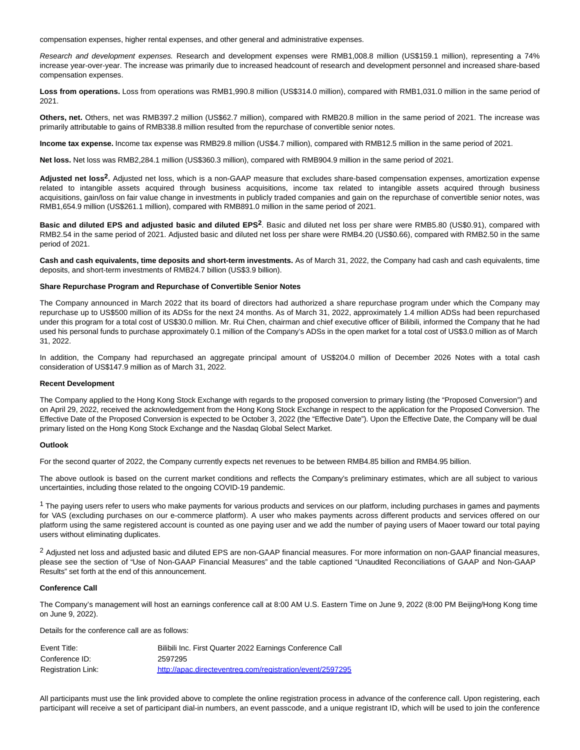compensation expenses, higher rental expenses, and other general and administrative expenses.

Research and development expenses. Research and development expenses were RMB1,008.8 million (US\$159.1 million), representing a 74% increase year-over-year. The increase was primarily due to increased headcount of research and development personnel and increased share-based compensation expenses.

**Loss from operations.** Loss from operations was RMB1,990.8 million (US\$314.0 million), compared with RMB1,031.0 million in the same period of 2021.

**Others, net.** Others, net was RMB397.2 million (US\$62.7 million), compared with RMB20.8 million in the same period of 2021. The increase was primarily attributable to gains of RMB338.8 million resulted from the repurchase of convertible senior notes.

**Income tax expense.** Income tax expense was RMB29.8 million (US\$4.7 million), compared with RMB12.5 million in the same period of 2021.

**Net loss.** Net loss was RMB2,284.1 million (US\$360.3 million), compared with RMB904.9 million in the same period of 2021.

**Adjusted net loss2.** Adjusted net loss, which is a non-GAAP measure that excludes share-based compensation expenses, amortization expense related to intangible assets acquired through business acquisitions, income tax related to intangible assets acquired through business acquisitions, gain/loss on fair value change in investments in publicly traded companies and gain on the repurchase of convertible senior notes, was RMB1,654.9 million (US\$261.1 million), compared with RMB891.0 million in the same period of 2021.

**Basic and diluted EPS and adjusted basic and diluted EPS2**. Basic and diluted net loss per share were RMB5.80 (US\$0.91), compared with RMB2.54 in the same period of 2021. Adjusted basic and diluted net loss per share were RMB4.20 (US\$0.66), compared with RMB2.50 in the same period of 2021.

**Cash and cash equivalents, time deposits and short-term investments.** As of March 31, 2022, the Company had cash and cash equivalents, time deposits, and short-term investments of RMB24.7 billion (US\$3.9 billion).

### **Share Repurchase Program and Repurchase of Convertible Senior Notes**

The Company announced in March 2022 that its board of directors had authorized a share repurchase program under which the Company may repurchase up to US\$500 million of its ADSs for the next 24 months. As of March 31, 2022, approximately 1.4 million ADSs had been repurchased under this program for a total cost of US\$30.0 million. Mr. Rui Chen, chairman and chief executive officer of Bilibili, informed the Company that he had used his personal funds to purchase approximately 0.1 million of the Company's ADSs in the open market for a total cost of US\$3.0 million as of March 31, 2022.

In addition, the Company had repurchased an aggregate principal amount of US\$204.0 million of December 2026 Notes with a total cash consideration of US\$147.9 million as of March 31, 2022.

### **Recent Development**

The Company applied to the Hong Kong Stock Exchange with regards to the proposed conversion to primary listing (the "Proposed Conversion") and on April 29, 2022, received the acknowledgement from the Hong Kong Stock Exchange in respect to the application for the Proposed Conversion. The Effective Date of the Proposed Conversion is expected to be October 3, 2022 (the "Effective Date"). Upon the Effective Date, the Company will be dual primary listed on the Hong Kong Stock Exchange and the Nasdaq Global Select Market.

### **Outlook**

For the second quarter of 2022, the Company currently expects net revenues to be between RMB4.85 billion and RMB4.95 billion.

The above outlook is based on the current market conditions and reflects the Company's preliminary estimates, which are all subject to various uncertainties, including those related to the ongoing COVID-19 pandemic.

 $1$  The paying users refer to users who make payments for various products and services on our platform, including purchases in games and payments for VAS (excluding purchases on our e-commerce platform). A user who makes payments across different products and services offered on our platform using the same registered account is counted as one paying user and we add the number of paying users of Maoer toward our total paying users without eliminating duplicates.

<sup>2</sup> Adjusted net loss and adjusted basic and diluted EPS are non-GAAP financial measures. For more information on non-GAAP financial measures, please see the section of "Use of Non-GAAP Financial Measures" and the table captioned "Unaudited Reconciliations of GAAP and Non-GAAP Results" set forth at the end of this announcement.

### **Conference Call**

The Company's management will host an earnings conference call at 8:00 AM U.S. Eastern Time on June 9, 2022 (8:00 PM Beijing/Hong Kong time on June 9, 2022).

Details for the conference call are as follows:

| Event Title:              | Bilibili Inc. First Quarter 2022 Earnings Conference Call |
|---------------------------|-----------------------------------------------------------|
| Conference ID:            | 2597295                                                   |
| <b>Registration Link:</b> | http://apac.directeventreg.com/registration/event/2597295 |

All participants must use the link provided above to complete the online registration process in advance of the conference call. Upon registering, each participant will receive a set of participant dial-in numbers, an event passcode, and a unique registrant ID, which will be used to join the conference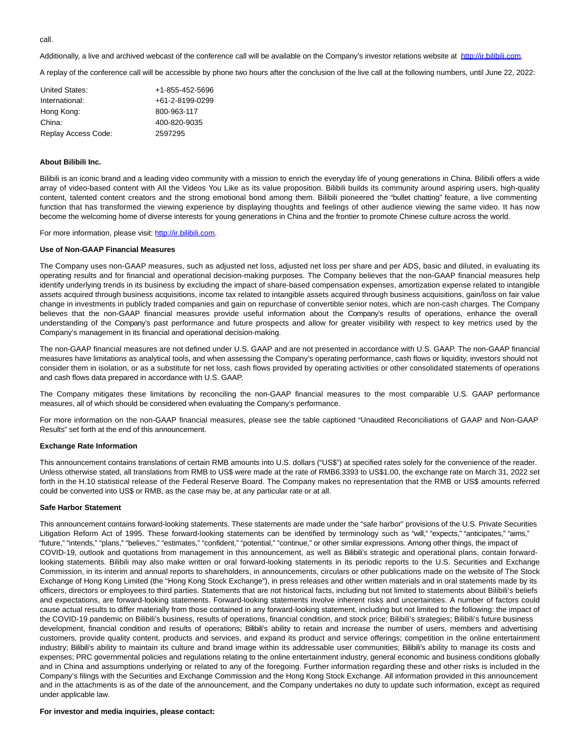call.

Additionally, a live and archived webcast of the conference call will be available on the Company's investor relations website at [http://ir.bilibili.com.](https://www.globenewswire.com/Tracker?data=NjC-7-kZb_El3SLl_HY1TG8WxqgkLeRT1bIZ4m7owfruSVOtkf2lKf5TvUXexY_-PW8cm32crCd6pYpgQYEVX4HNk-JtTmvwAE4SU6QNoO0=)

A replay of the conference call will be accessible by phone two hours after the conclusion of the live call at the following numbers, until June 22, 2022:

| United States:      | +1-855-452-5696 |
|---------------------|-----------------|
| International:      | +61-2-8199-0299 |
| Hong Kong:          | 800-963-117     |
| China:              | 400-820-9035    |
| Replay Access Code: | 2597295         |

### **About Bilibili Inc.**

Bilibili is an iconic brand and a leading video community with a mission to enrich the everyday life of young generations in China. Bilibili offers a wide array of video-based content with All the Videos You Like as its value proposition. Bilibili builds its community around aspiring users, high-quality content, talented content creators and the strong emotional bond among them. Bilibili pioneered the "bullet chatting" feature, a live commenting function that has transformed the viewing experience by displaying thoughts and feelings of other audience viewing the same video. It has now become the welcoming home of diverse interests for young generations in China and the frontier to promote Chinese culture across the world.

For more information, please visit: [http://ir.bilibili.com.](https://www.globenewswire.com/Tracker?data=NjC-7-kZb_El3SLl_HY1TG8WxqgkLeRT1bIZ4m7owfpSTGZMr0eIwKrNryjJwbJv5U8B4v0zXMW6dpiZ1se-Izr9vk12eUdvvcCecRnqM_0=)

### **Use of Non-GAAP Financial Measures**

The Company uses non-GAAP measures, such as adjusted net loss, adjusted net loss per share and per ADS, basic and diluted, in evaluating its operating results and for financial and operational decision-making purposes. The Company believes that the non-GAAP financial measures help identify underlying trends in its business by excluding the impact of share-based compensation expenses, amortization expense related to intangible assets acquired through business acquisitions, income tax related to intangible assets acquired through business acquisitions, gain/loss on fair value change in investments in publicly traded companies and gain on repurchase of convertible senior notes, which are non-cash charges. The Company believes that the non-GAAP financial measures provide useful information about the Company's results of operations, enhance the overall understanding of the Company's past performance and future prospects and allow for greater visibility with respect to key metrics used by the Company's management in its financial and operational decision-making.

The non-GAAP financial measures are not defined under U.S. GAAP and are not presented in accordance with U.S. GAAP. The non-GAAP financial measures have limitations as analytical tools, and when assessing the Company's operating performance, cash flows or liquidity, investors should not consider them in isolation, or as a substitute for net loss, cash flows provided by operating activities or other consolidated statements of operations and cash flows data prepared in accordance with U.S. GAAP.

The Company mitigates these limitations by reconciling the non-GAAP financial measures to the most comparable U.S. GAAP performance measures, all of which should be considered when evaluating the Company's performance.

For more information on the non-GAAP financial measures, please see the table captioned "Unaudited Reconciliations of GAAP and Non-GAAP Results" set forth at the end of this announcement.

### **Exchange Rate Information**

This announcement contains translations of certain RMB amounts into U.S. dollars ("US\$") at specified rates solely for the convenience of the reader. Unless otherwise stated, all translations from RMB to US\$ were made at the rate of RMB6.3393 to US\$1.00, the exchange rate on March 31, 2022 set forth in the H.10 statistical release of the Federal Reserve Board. The Company makes no representation that the RMB or US\$ amounts referred could be converted into US\$ or RMB, as the case may be, at any particular rate or at all.

#### **Safe Harbor Statement**

This announcement contains forward-looking statements. These statements are made under the "safe harbor" provisions of the U.S. Private Securities Litigation Reform Act of 1995. These forward-looking statements can be identified by terminology such as "will," "expects," "anticipates," "aims," "future," "intends," "plans," "believes," "estimates," "confident," "potential," "continue," or other similar expressions. Among other things, the impact of COVID-19, outlook and quotations from management in this announcement, as well as Bilibili's strategic and operational plans, contain forwardlooking statements. Bilibili may also make written or oral forward-looking statements in its periodic reports to the U.S. Securities and Exchange Commission, in its interim and annual reports to shareholders, in announcements, circulars or other publications made on the website of The Stock Exchange of Hong Kong Limited (the "Hong Kong Stock Exchange"), in press releases and other written materials and in oral statements made by its officers, directors or employees to third parties. Statements that are not historical facts, including but not limited to statements about Bilibili's beliefs and expectations, are forward-looking statements. Forward-looking statements involve inherent risks and uncertainties. A number of factors could cause actual results to differ materially from those contained in any forward-looking statement, including but not limited to the following: the impact of the COVID-19 pandemic on Bilibili's business, results of operations, financial condition, and stock price; Bilibili's strategies; Bilibili's future business development, financial condition and results of operations; Bilibili's ability to retain and increase the number of users, members and advertising customers, provide quality content, products and services, and expand its product and service offerings; competition in the online entertainment industry; Bilibili's ability to maintain its culture and brand image within its addressable user communities; Bilibili's ability to manage its costs and expenses; PRC governmental policies and regulations relating to the online entertainment industry, general economic and business conditions globally and in China and assumptions underlying or related to any of the foregoing. Further information regarding these and other risks is included in the Company's filings with the Securities and Exchange Commission and the Hong Kong Stock Exchange. All information provided in this announcement and in the attachments is as of the date of the announcement, and the Company undertakes no duty to update such information, except as required under applicable law.

#### **For investor and media inquiries, please contact:**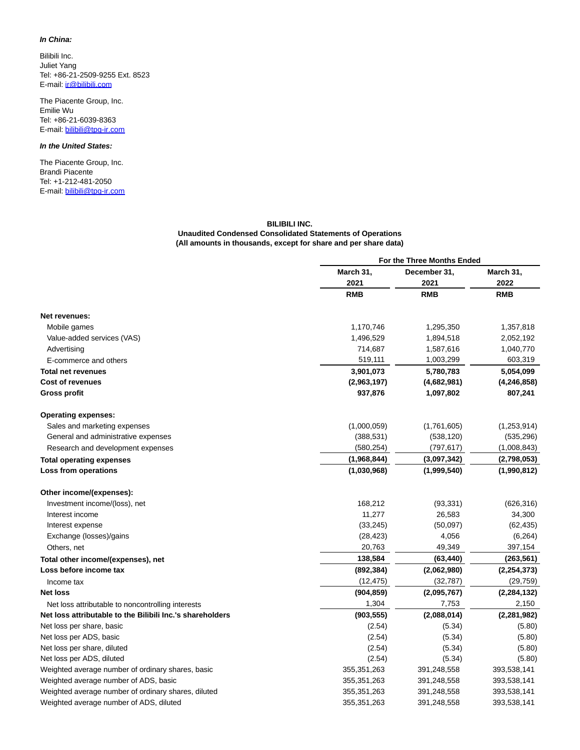# **In China:**

Bilibili Inc. Juliet Yang Tel: +86-21-2509-9255 Ext. 8523 E-mail: *ir@bilibili.com* 

The Piacente Group, Inc. Emilie Wu Tel: +86-21-6039-8363 E-mail: [bilibili@tpg-ir.com](https://www.globenewswire.com/Tracker?data=lUawCbc3oV84JnAHjrCJosZzFCwdCP342oNDkPPeeHSJXq6Z6xS3xzCMKCKq48nfeiUPIyFpcI7aGU5dYbFE_jjyE4wTwhu48aZ1ELIb04o=)

# **In the United States:**

The Piacente Group, Inc. Brandi Piacente Tel: +1-212-481-2050 E-mail: [bilibili@tpg-ir.com](https://www.globenewswire.com/Tracker?data=lUawCbc3oV84JnAHjrCJortcVABOu45hUYf80oxC1fc9s9E5Iq_hNDyN0tC7cjbQQZHJl7_F04nNSdBkSXd38xscp0vzKEpD5IZG1x_dGvA=)

# **BILIBILI INC.**

**Unaudited Condensed Consolidated Statements of Operations (All amounts in thousands, except for share and per share data)**

|                                                           |               | For the Three Months Ended |                                 |  |
|-----------------------------------------------------------|---------------|----------------------------|---------------------------------|--|
|                                                           | March 31,     | December 31,               | March 31,<br>2022<br><b>RMB</b> |  |
|                                                           | 2021          | 2021                       |                                 |  |
|                                                           | <b>RMB</b>    | <b>RMB</b>                 |                                 |  |
| Net revenues:                                             |               |                            |                                 |  |
| Mobile games                                              | 1,170,746     | 1,295,350                  | 1,357,818                       |  |
| Value-added services (VAS)                                | 1,496,529     | 1,894,518                  | 2,052,192                       |  |
| Advertising                                               | 714,687       | 1,587,616                  | 1,040,770                       |  |
| E-commerce and others                                     | 519,111       | 1,003,299                  | 603,319                         |  |
| <b>Total net revenues</b>                                 | 3,901,073     | 5,780,783                  | 5,054,099                       |  |
| <b>Cost of revenues</b>                                   | (2,963,197)   | (4,682,981)                | (4, 246, 858)                   |  |
| <b>Gross profit</b>                                       | 937,876       | 1,097,802                  | 807,241                         |  |
| <b>Operating expenses:</b>                                |               |                            |                                 |  |
| Sales and marketing expenses                              | (1,000,059)   | (1,761,605)                | (1,253,914)                     |  |
| General and administrative expenses                       | (388, 531)    | (538, 120)                 | (535, 296)                      |  |
| Research and development expenses                         | (580, 254)    | (797, 617)                 | (1,008,843)                     |  |
| <b>Total operating expenses</b>                           | (1,968,844)   | (3,097,342)                | (2,798,053)                     |  |
| Loss from operations                                      | (1,030,968)   | (1,999,540)                | (1,990,812)                     |  |
| Other income/(expenses):                                  |               |                            |                                 |  |
| Investment income/(loss), net                             | 168,212       | (93, 331)                  | (626, 316)                      |  |
| Interest income                                           | 11,277        | 26,583                     | 34,300                          |  |
| Interest expense                                          | (33, 245)     | (50,097)                   | (62, 435)                       |  |
| Exchange (losses)/gains                                   | (28, 423)     | 4,056                      | (6, 264)                        |  |
| Others, net                                               | 20,763        | 49,349                     | 397,154                         |  |
| Total other income/(expenses), net                        | 138,584       | (63, 440)                  | (263, 561)                      |  |
| Loss before income tax                                    | (892, 384)    | (2,062,980)                | (2, 254, 373)                   |  |
| Income tax                                                | (12, 475)     | (32, 787)                  | (29, 759)                       |  |
| <b>Net loss</b>                                           | (904, 859)    | (2,095,767)                | (2, 284, 132)                   |  |
| Net loss attributable to noncontrolling interests         | 1,304         | 7,753                      | 2,150                           |  |
| Net loss attributable to the Bilibili Inc.'s shareholders | (903, 555)    | (2,088,014)                | (2, 281, 982)                   |  |
| Net loss per share, basic                                 | (2.54)        | (5.34)                     | (5.80)                          |  |
| Net loss per ADS, basic                                   | (2.54)        | (5.34)                     | (5.80)                          |  |
| Net loss per share, diluted                               | (2.54)        | (5.34)                     | (5.80)                          |  |
| Net loss per ADS, diluted                                 | (2.54)        | (5.34)                     | (5.80)                          |  |
| Weighted average number of ordinary shares, basic         | 355, 351, 263 | 391,248,558                | 393,538,141                     |  |
| Weighted average number of ADS, basic                     | 355,351,263   | 391,248,558                | 393,538,141                     |  |
| Weighted average number of ordinary shares, diluted       | 355, 351, 263 | 391,248,558                | 393,538,141                     |  |
| Weighted average number of ADS, diluted                   | 355, 351, 263 | 391,248,558                | 393,538,141                     |  |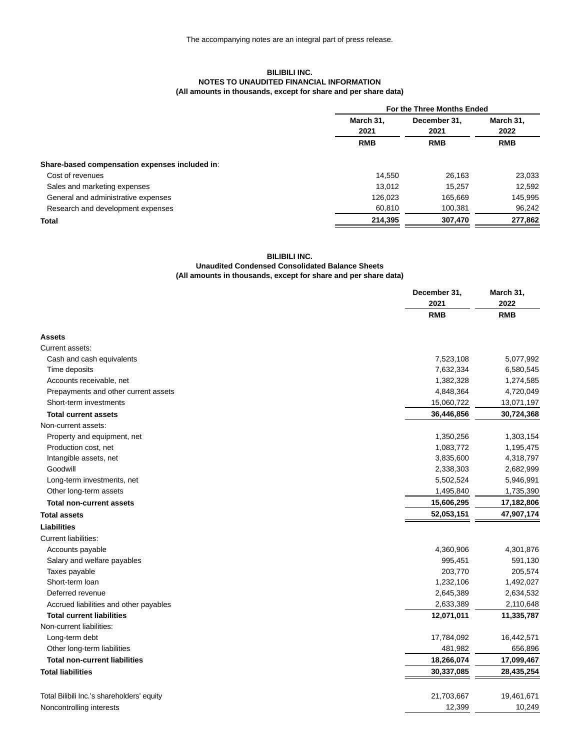## **BILIBILI INC. NOTES TO UNAUDITED FINANCIAL INFORMATION (All amounts in thousands, except for share and per share data)**

|                                                | For the Three Months Ended      |                                    |                                 |
|------------------------------------------------|---------------------------------|------------------------------------|---------------------------------|
|                                                | March 31,<br>2021<br><b>RMB</b> | December 31,<br>2021<br><b>RMB</b> | March 31,<br>2022<br><b>RMB</b> |
|                                                |                                 |                                    |                                 |
| Share-based compensation expenses included in: |                                 |                                    |                                 |
| Cost of revenues                               | 14,550                          | 26,163                             | 23,033                          |
| Sales and marketing expenses                   | 13.012                          | 15.257                             | 12,592                          |
| General and administrative expenses            | 126,023                         | 165,669                            | 145,995                         |
| Research and development expenses              | 60,810                          | 100,381                            | 96,242                          |
| <b>Total</b>                                   | 214,395                         | 307,470                            | 277,862                         |

# **BILIBILI INC.**

# **Unaudited Condensed Consolidated Balance Sheets (All amounts in thousands, except for share and per share data)**

| <b>Assets</b><br>Current assets:<br>7,523,108<br>5,077,992<br>Cash and cash equivalents<br>7,632,334<br>6,580,545<br>Time deposits<br>Accounts receivable, net<br>1,382,328<br>1,274,585<br>Prepayments and other current assets<br>4,848,364<br>4,720,049<br>15,060,722<br>13,071,197<br>Short-term investments<br>36,446,856<br>30,724,368<br><b>Total current assets</b><br>Non-current assets:<br>Property and equipment, net<br>1,350,256<br>1,303,154<br>1,083,772<br>Production cost, net<br>3,835,600<br>4,318,797<br>Intangible assets, net<br>Goodwill<br>2,682,999<br>2,338,303<br>5,502,524<br>5,946,991<br>Long-term investments, net<br>1,735,390<br>1,495,840<br>Other long-term assets<br>15,606,295<br><b>Total non-current assets</b><br>52,053,151<br><b>Total assets</b><br><b>Liabilities</b><br>Current liabilities:<br>4,360,906<br>4,301,876<br>Accounts payable<br>591,130<br>Salary and welfare payables<br>995,451<br>Taxes payable<br>203,770<br>Short-term loan<br>1,232,106<br>1,492,027<br>2,645,389<br>2,634,532<br>Deferred revenue<br>2,633,389<br>Accrued liabilities and other payables<br><b>Total current liabilities</b><br>12,071,011<br>11,335,787<br>Non-current liabilities:<br>17,784,092<br>16,442,571<br>Long-term debt<br>481,982<br>656,896<br>Other long-term liabilities<br>18,266,074<br>17,099,467<br><b>Total non-current liabilities</b><br>30,337,085<br>28,435,254<br><b>Total liabilities</b><br>21,703,667<br>Total Bilibili Inc.'s shareholders' equity<br>19,461,671<br>Noncontrolling interests<br>12,399<br>10,249 | December 31,<br>2021<br><b>RMB</b> | March 31,<br>2022<br><b>RMB</b> |
|----------------------------------------------------------------------------------------------------------------------------------------------------------------------------------------------------------------------------------------------------------------------------------------------------------------------------------------------------------------------------------------------------------------------------------------------------------------------------------------------------------------------------------------------------------------------------------------------------------------------------------------------------------------------------------------------------------------------------------------------------------------------------------------------------------------------------------------------------------------------------------------------------------------------------------------------------------------------------------------------------------------------------------------------------------------------------------------------------------------------------------------------------------------------------------------------------------------------------------------------------------------------------------------------------------------------------------------------------------------------------------------------------------------------------------------------------------------------------------------------------------------------------------------------------------------------------------|------------------------------------|---------------------------------|
|                                                                                                                                                                                                                                                                                                                                                                                                                                                                                                                                                                                                                                                                                                                                                                                                                                                                                                                                                                                                                                                                                                                                                                                                                                                                                                                                                                                                                                                                                                                                                                                  |                                    |                                 |
|                                                                                                                                                                                                                                                                                                                                                                                                                                                                                                                                                                                                                                                                                                                                                                                                                                                                                                                                                                                                                                                                                                                                                                                                                                                                                                                                                                                                                                                                                                                                                                                  |                                    |                                 |
|                                                                                                                                                                                                                                                                                                                                                                                                                                                                                                                                                                                                                                                                                                                                                                                                                                                                                                                                                                                                                                                                                                                                                                                                                                                                                                                                                                                                                                                                                                                                                                                  |                                    |                                 |
|                                                                                                                                                                                                                                                                                                                                                                                                                                                                                                                                                                                                                                                                                                                                                                                                                                                                                                                                                                                                                                                                                                                                                                                                                                                                                                                                                                                                                                                                                                                                                                                  |                                    |                                 |
|                                                                                                                                                                                                                                                                                                                                                                                                                                                                                                                                                                                                                                                                                                                                                                                                                                                                                                                                                                                                                                                                                                                                                                                                                                                                                                                                                                                                                                                                                                                                                                                  |                                    |                                 |
|                                                                                                                                                                                                                                                                                                                                                                                                                                                                                                                                                                                                                                                                                                                                                                                                                                                                                                                                                                                                                                                                                                                                                                                                                                                                                                                                                                                                                                                                                                                                                                                  |                                    |                                 |
|                                                                                                                                                                                                                                                                                                                                                                                                                                                                                                                                                                                                                                                                                                                                                                                                                                                                                                                                                                                                                                                                                                                                                                                                                                                                                                                                                                                                                                                                                                                                                                                  |                                    |                                 |
|                                                                                                                                                                                                                                                                                                                                                                                                                                                                                                                                                                                                                                                                                                                                                                                                                                                                                                                                                                                                                                                                                                                                                                                                                                                                                                                                                                                                                                                                                                                                                                                  |                                    |                                 |
|                                                                                                                                                                                                                                                                                                                                                                                                                                                                                                                                                                                                                                                                                                                                                                                                                                                                                                                                                                                                                                                                                                                                                                                                                                                                                                                                                                                                                                                                                                                                                                                  |                                    |                                 |
|                                                                                                                                                                                                                                                                                                                                                                                                                                                                                                                                                                                                                                                                                                                                                                                                                                                                                                                                                                                                                                                                                                                                                                                                                                                                                                                                                                                                                                                                                                                                                                                  |                                    |                                 |
|                                                                                                                                                                                                                                                                                                                                                                                                                                                                                                                                                                                                                                                                                                                                                                                                                                                                                                                                                                                                                                                                                                                                                                                                                                                                                                                                                                                                                                                                                                                                                                                  |                                    | 1,195,475                       |
|                                                                                                                                                                                                                                                                                                                                                                                                                                                                                                                                                                                                                                                                                                                                                                                                                                                                                                                                                                                                                                                                                                                                                                                                                                                                                                                                                                                                                                                                                                                                                                                  |                                    |                                 |
|                                                                                                                                                                                                                                                                                                                                                                                                                                                                                                                                                                                                                                                                                                                                                                                                                                                                                                                                                                                                                                                                                                                                                                                                                                                                                                                                                                                                                                                                                                                                                                                  |                                    |                                 |
|                                                                                                                                                                                                                                                                                                                                                                                                                                                                                                                                                                                                                                                                                                                                                                                                                                                                                                                                                                                                                                                                                                                                                                                                                                                                                                                                                                                                                                                                                                                                                                                  |                                    |                                 |
|                                                                                                                                                                                                                                                                                                                                                                                                                                                                                                                                                                                                                                                                                                                                                                                                                                                                                                                                                                                                                                                                                                                                                                                                                                                                                                                                                                                                                                                                                                                                                                                  |                                    |                                 |
|                                                                                                                                                                                                                                                                                                                                                                                                                                                                                                                                                                                                                                                                                                                                                                                                                                                                                                                                                                                                                                                                                                                                                                                                                                                                                                                                                                                                                                                                                                                                                                                  |                                    | 17,182,806                      |
|                                                                                                                                                                                                                                                                                                                                                                                                                                                                                                                                                                                                                                                                                                                                                                                                                                                                                                                                                                                                                                                                                                                                                                                                                                                                                                                                                                                                                                                                                                                                                                                  |                                    | 47,907,174                      |
|                                                                                                                                                                                                                                                                                                                                                                                                                                                                                                                                                                                                                                                                                                                                                                                                                                                                                                                                                                                                                                                                                                                                                                                                                                                                                                                                                                                                                                                                                                                                                                                  |                                    |                                 |
|                                                                                                                                                                                                                                                                                                                                                                                                                                                                                                                                                                                                                                                                                                                                                                                                                                                                                                                                                                                                                                                                                                                                                                                                                                                                                                                                                                                                                                                                                                                                                                                  |                                    |                                 |
|                                                                                                                                                                                                                                                                                                                                                                                                                                                                                                                                                                                                                                                                                                                                                                                                                                                                                                                                                                                                                                                                                                                                                                                                                                                                                                                                                                                                                                                                                                                                                                                  |                                    |                                 |
|                                                                                                                                                                                                                                                                                                                                                                                                                                                                                                                                                                                                                                                                                                                                                                                                                                                                                                                                                                                                                                                                                                                                                                                                                                                                                                                                                                                                                                                                                                                                                                                  |                                    |                                 |
|                                                                                                                                                                                                                                                                                                                                                                                                                                                                                                                                                                                                                                                                                                                                                                                                                                                                                                                                                                                                                                                                                                                                                                                                                                                                                                                                                                                                                                                                                                                                                                                  |                                    | 205,574                         |
|                                                                                                                                                                                                                                                                                                                                                                                                                                                                                                                                                                                                                                                                                                                                                                                                                                                                                                                                                                                                                                                                                                                                                                                                                                                                                                                                                                                                                                                                                                                                                                                  |                                    |                                 |
|                                                                                                                                                                                                                                                                                                                                                                                                                                                                                                                                                                                                                                                                                                                                                                                                                                                                                                                                                                                                                                                                                                                                                                                                                                                                                                                                                                                                                                                                                                                                                                                  |                                    |                                 |
|                                                                                                                                                                                                                                                                                                                                                                                                                                                                                                                                                                                                                                                                                                                                                                                                                                                                                                                                                                                                                                                                                                                                                                                                                                                                                                                                                                                                                                                                                                                                                                                  |                                    | 2,110,648                       |
|                                                                                                                                                                                                                                                                                                                                                                                                                                                                                                                                                                                                                                                                                                                                                                                                                                                                                                                                                                                                                                                                                                                                                                                                                                                                                                                                                                                                                                                                                                                                                                                  |                                    |                                 |
|                                                                                                                                                                                                                                                                                                                                                                                                                                                                                                                                                                                                                                                                                                                                                                                                                                                                                                                                                                                                                                                                                                                                                                                                                                                                                                                                                                                                                                                                                                                                                                                  |                                    |                                 |
|                                                                                                                                                                                                                                                                                                                                                                                                                                                                                                                                                                                                                                                                                                                                                                                                                                                                                                                                                                                                                                                                                                                                                                                                                                                                                                                                                                                                                                                                                                                                                                                  |                                    |                                 |
|                                                                                                                                                                                                                                                                                                                                                                                                                                                                                                                                                                                                                                                                                                                                                                                                                                                                                                                                                                                                                                                                                                                                                                                                                                                                                                                                                                                                                                                                                                                                                                                  |                                    |                                 |
|                                                                                                                                                                                                                                                                                                                                                                                                                                                                                                                                                                                                                                                                                                                                                                                                                                                                                                                                                                                                                                                                                                                                                                                                                                                                                                                                                                                                                                                                                                                                                                                  |                                    |                                 |
|                                                                                                                                                                                                                                                                                                                                                                                                                                                                                                                                                                                                                                                                                                                                                                                                                                                                                                                                                                                                                                                                                                                                                                                                                                                                                                                                                                                                                                                                                                                                                                                  |                                    |                                 |
|                                                                                                                                                                                                                                                                                                                                                                                                                                                                                                                                                                                                                                                                                                                                                                                                                                                                                                                                                                                                                                                                                                                                                                                                                                                                                                                                                                                                                                                                                                                                                                                  |                                    |                                 |
|                                                                                                                                                                                                                                                                                                                                                                                                                                                                                                                                                                                                                                                                                                                                                                                                                                                                                                                                                                                                                                                                                                                                                                                                                                                                                                                                                                                                                                                                                                                                                                                  |                                    |                                 |